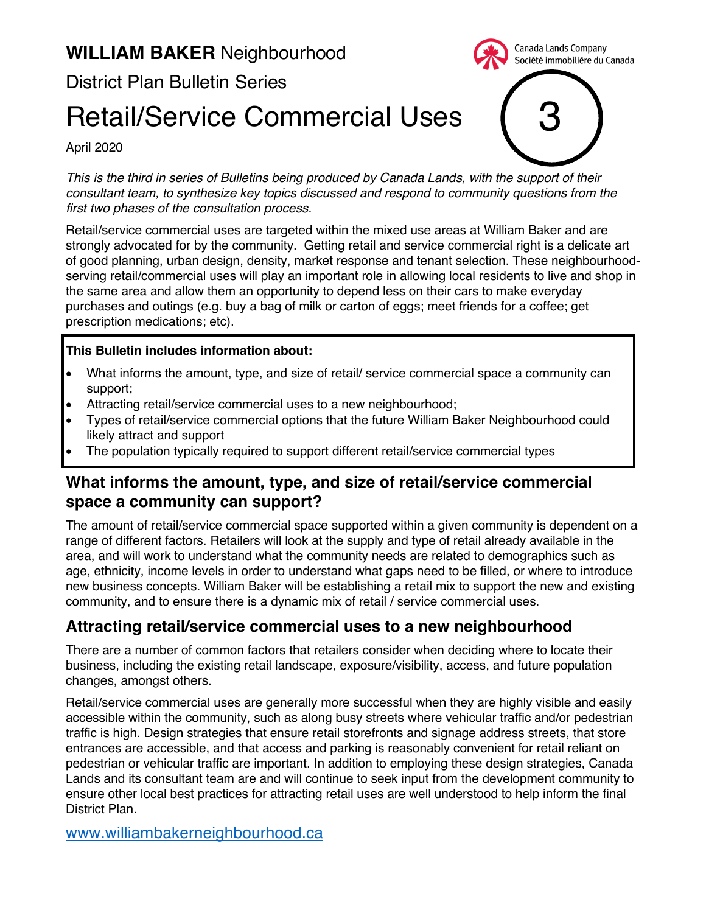## **WILLIAM BAKER** Neighbourhood

District Plan Bulletin Series

# Retail/Service Commercial Uses

April 2020

*This is the third in series of Bulletins being produced by Canada Lands, with the support of their consultant team, to synthesize key topics discussed and respond to community questions from the first two phases of the consultation process.*

3

Canada Lands Company Société immobilière du Canada

Retail/service commercial uses are targeted within the mixed use areas at William Baker and are strongly advocated for by the community. Getting retail and service commercial right is a delicate art of good planning, urban design, density, market response and tenant selection. These neighbourhoodserving retail/commercial uses will play an important role in allowing local residents to live and shop in the same area and allow them an opportunity to depend less on their cars to make everyday purchases and outings (e.g. buy a bag of milk or carton of eggs; meet friends for a coffee; get prescription medications; etc).

#### **This Bulletin includes information about:**

- What informs the amount, type, and size of retail/ service commercial space a community can support;
- Attracting retail/service commercial uses to a new neighbourhood;
- Types of retail/service commercial options that the future William Baker Neighbourhood could likely attract and support
- The population typically required to support different retail/service commercial types

#### **What informs the amount, type, and size of retail/service commercial space a community can support?**

The amount of retail/service commercial space supported within a given community is dependent on a range of different factors. Retailers will look at the supply and type of retail already available in the area, and will work to understand what the community needs are related to demographics such as age, ethnicity, income levels in order to understand what gaps need to be filled, or where to introduce new business concepts. William Baker will be establishing a retail mix to support the new and existing community, and to ensure there is a dynamic mix of retail / service commercial uses.

### **Attracting retail/service commercial uses to a new neighbourhood**

There are a number of common factors that retailers consider when deciding where to locate their business, including the existing retail landscape, exposure/visibility, access, and future population changes, amongst others.

Retail/service commercial uses are generally more successful when they are highly visible and easily accessible within the community, such as along busy streets where vehicular traffic and/or pedestrian traffic is high. Design strategies that ensure retail storefronts and signage address streets, that store entrances are accessible, and that access and parking is reasonably convenient for retail reliant on pedestrian or vehicular traffic are important. In addition to employing these design strategies, Canada Lands and its consultant team are and will continue to seek input from the development community to ensure other local best practices for attracting retail uses are well understood to help inform the final District Plan.

www.williambakerneighbourhood.ca